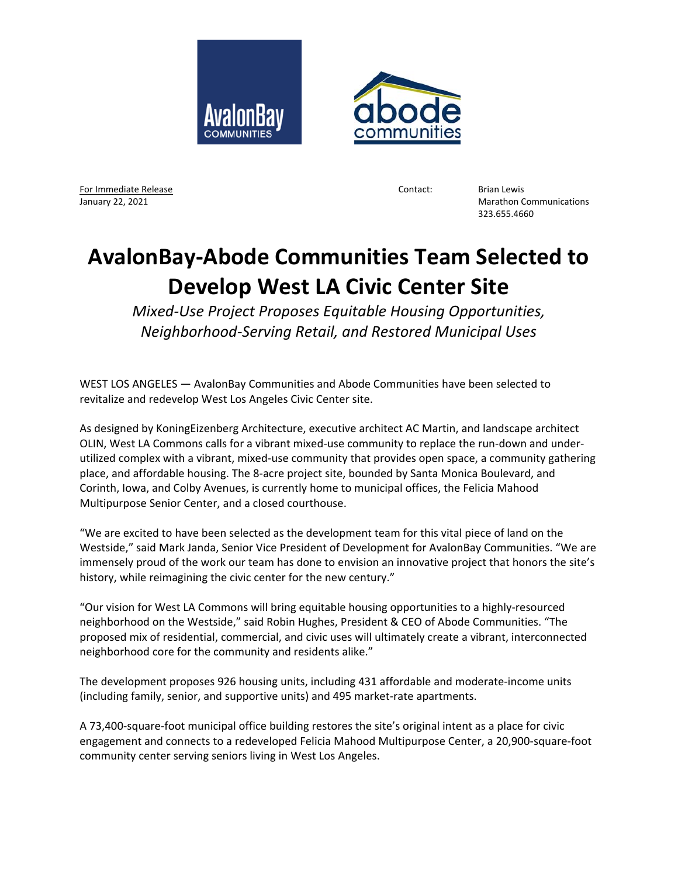



For Immediate Release **For Immediate Release According to According the Contact:** Brian Lewis

January 22, 2021 Marathon Communications 323.655.4660

## **AvalonBay‐Abode Communities Team Selected to Develop West LA Civic Center Site**

*Mixed‐Use Project Proposes Equitable Housing Opportunities, Neighborhood‐Serving Retail, and Restored Municipal Uses* 

WEST LOS ANGELES — AvalonBay Communities and Abode Communities have been selected to revitalize and redevelop West Los Angeles Civic Center site.

As designed by KoningEizenberg Architecture, executive architect AC Martin, and landscape architect OLIN, West LA Commons calls for a vibrant mixed-use community to replace the run-down and underutilized complex with a vibrant, mixed‐use community that provides open space, a community gathering place, and affordable housing. The 8‐acre project site, bounded by Santa Monica Boulevard, and Corinth, Iowa, and Colby Avenues, is currently home to municipal offices, the Felicia Mahood Multipurpose Senior Center, and a closed courthouse.

"We are excited to have been selected as the development team for this vital piece of land on the Westside," said Mark Janda, Senior Vice President of Development for AvalonBay Communities. "We are immensely proud of the work our team has done to envision an innovative project that honors the site's history, while reimagining the civic center for the new century."

"Our vision for West LA Commons will bring equitable housing opportunities to a highly‐resourced neighborhood on the Westside," said Robin Hughes, President & CEO of Abode Communities. "The proposed mix of residential, commercial, and civic uses will ultimately create a vibrant, interconnected neighborhood core for the community and residents alike."

The development proposes 926 housing units, including 431 affordable and moderate‐income units (including family, senior, and supportive units) and 495 market‐rate apartments.

A 73,400‐square‐foot municipal office building restores the site's original intent as a place for civic engagement and connects to a redeveloped Felicia Mahood Multipurpose Center, a 20,900‐square‐foot community center serving seniors living in West Los Angeles.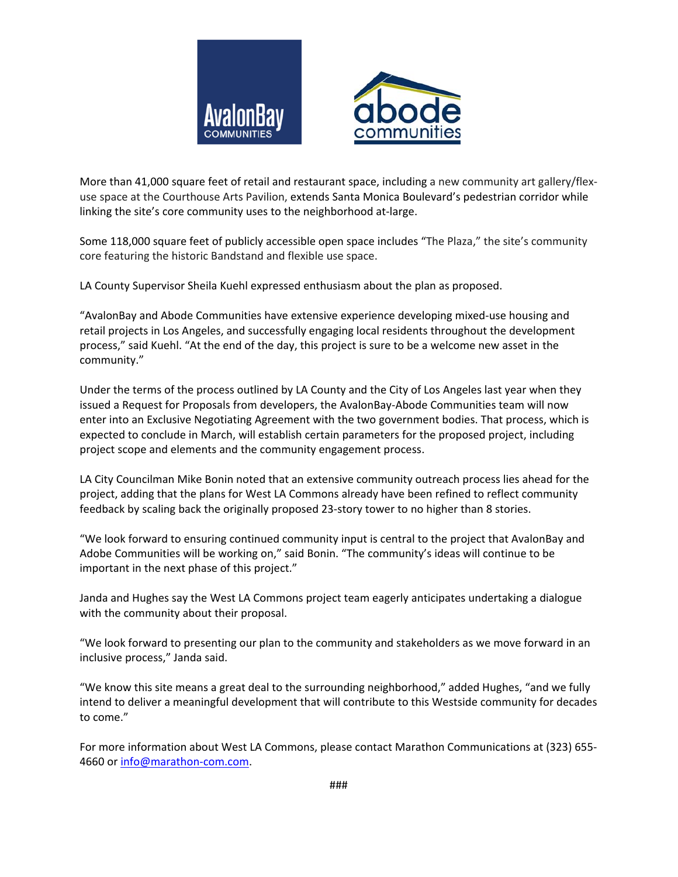



More than 41,000 square feet of retail and restaurant space, including a new community art gallery/flexuse space at the Courthouse Arts Pavilion, extends Santa Monica Boulevard's pedestrian corridor while linking the site's core community uses to the neighborhood at‐large.

Some 118,000 square feet of publicly accessible open space includes "The Plaza," the site's community core featuring the historic Bandstand and flexible use space.

LA County Supervisor Sheila Kuehl expressed enthusiasm about the plan as proposed.

"AvalonBay and Abode Communities have extensive experience developing mixed‐use housing and retail projects in Los Angeles, and successfully engaging local residents throughout the development process," said Kuehl. "At the end of the day, this project is sure to be a welcome new asset in the community."

Under the terms of the process outlined by LA County and the City of Los Angeles last year when they issued a Request for Proposals from developers, the AvalonBay‐Abode Communities team will now enter into an Exclusive Negotiating Agreement with the two government bodies. That process, which is expected to conclude in March, will establish certain parameters for the proposed project, including project scope and elements and the community engagement process.

LA City Councilman Mike Bonin noted that an extensive community outreach process lies ahead for the project, adding that the plans for West LA Commons already have been refined to reflect community feedback by scaling back the originally proposed 23‐story tower to no higher than 8 stories.

"We look forward to ensuring continued community input is central to the project that AvalonBay and Adobe Communities will be working on," said Bonin. "The community's ideas will continue to be important in the next phase of this project."

Janda and Hughes say the West LA Commons project team eagerly anticipates undertaking a dialogue with the community about their proposal.

"We look forward to presenting our plan to the community and stakeholders as we move forward in an inclusive process," Janda said.

"We know this site means a great deal to the surrounding neighborhood," added Hughes, "and we fully intend to deliver a meaningful development that will contribute to this Westside community for decades to come."

For more information about West LA Commons, please contact Marathon Communications at (323) 655‐ 4660 or info@marathon-com.com.